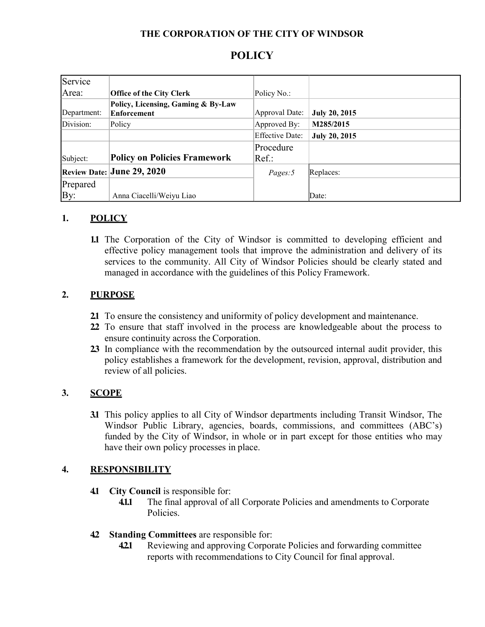## **THE CORPORATION OF THE CITY OF WINDSOR**

# **POLICY**

| Service     |                                                   |                        |                      |
|-------------|---------------------------------------------------|------------------------|----------------------|
| Area:       | <b>Office of the City Clerk</b>                   | Policy No.:            |                      |
| Department: | Policy, Licensing, Gaming & By-Law<br>Enforcement | Approval Date:         | <b>July 20, 2015</b> |
| Division:   | Policy                                            | Approved By:           | M285/2015            |
|             |                                                   | <b>Effective Date:</b> | <b>July 20, 2015</b> |
|             |                                                   | Procedure              |                      |
| Subject:    | <b>Policy on Policies Framework</b>               | Ref.:                  |                      |
|             | Review Date: June 29, 2020                        | Pages:5                | Replaces:            |
| Prepared    |                                                   |                        |                      |
| By:         | Anna Ciacelli/Weiyu Liao                          |                        | Date:                |

### **1. POLICY**

**1.1** The Corporation of the City of Windsor is committed to developing efficient and effective policy management tools that improve the administration and delivery of its services to the community. All City of Windsor Policies should be clearly stated and managed in accordance with the guidelines of this Policy Framework.

## **2. PURPOSE**

- **2.1** To ensure the consistency and uniformity of policy development and maintenance.
- **2.2** To ensure that staff involved in the process are knowledgeable about the process to ensure continuity across the Corporation.
- **2.3** In compliance with the recommendation by the outsourced internal audit provider, this policy establishes a framework for the development, revision, approval, distribution and review of all policies.

## **3. SCOPE**

**3.1** This policy applies to all City of Windsor departments including Transit Windsor, The Windsor Public Library, agencies, boards, commissions, and committees (ABC's) funded by the City of Windsor, in whole or in part except for those entities who may have their own policy processes in place.

#### **4. RESPONSIBILITY**

- **4.1 City Council** is responsible for:
	- **4.1.1** The final approval of all Corporate Policies and amendments to Corporate Policies.
- **4.2 Standing Committees** are responsible for:
	- **4.2.1** Reviewing and approving Corporate Policies and forwarding committee reports with recommendations to City Council for final approval.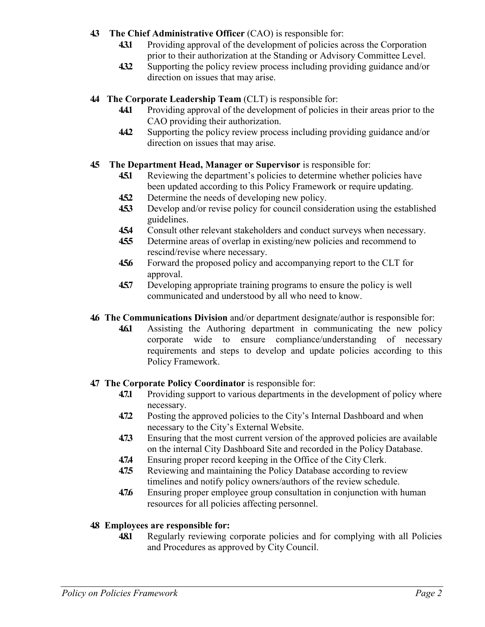## **4.3 The Chief Administrative Officer** (CAO) is responsible for:

- **4.3.1** Providing approval of the development of policies across the Corporation prior to their authorization at the Standing or Advisory Committee Level.
- **4.3.2** Supporting the policy review process including providing guidance and/or direction on issues that may arise.

# **4.4 The Corporate Leadership Team** (CLT) is responsible for:

- **4.4.1** Providing approval of the development of policies in their areas prior to the CAO providing their authorization.
- **4.4.2** Supporting the policy review process including providing guidance and/or direction on issues that may arise.

# **4.5 The Department Head, Manager or Supervisor** is responsible for:

- **45.1** Reviewing the department's policies to determine whether policies have been updated according to this Policy Framework or require updating.
- **4.5.2** Determine the needs of developing new policy.
- **4.5.3** Develop and/or revise policy for council consideration using the established guidelines.
- **4.5.4** Consult other relevant stakeholders and conduct surveys when necessary.
- **4.5.5** Determine areas of overlap in existing/new policies and recommend to rescind/revise where necessary.
- **4.5.6** Forward the proposed policy and accompanying report to the CLT for approval.
- **4.5.7** Developing appropriate training programs to ensure the policy is well communicated and understood by all who need to know.
- **4.6 The Communications Division** and/or department designate/author is responsible for:
	- **4.6.1** Assisting the Authoring department in communicating the new policy corporate wide to ensure compliance/understanding of necessary requirements and steps to develop and update policies according to this Policy Framework.

# **4.7 The Corporate Policy Coordinator** is responsible for:

- **4.7.1** Providing support to various departments in the development of policy where necessary.
- **4.7.2** Posting the approved policies to the City's Internal Dashboard and when necessary to the City's External Website.
- **4.7.3** Ensuring that the most current version of the approved policies are available on the internal City Dashboard Site and recorded in the Policy Database.
- **4.7.4** Ensuring proper record keeping in the Office of the City Clerk.
- **475** Reviewing and maintaining the Policy Database according to review timelines and notify policy owners/authors of the review schedule.
- **4.7.6** Ensuring proper employee group consultation in conjunction with human resources for all policies affecting personnel.

# **4.8 Employees are responsible for:**

**48.1** Regularly reviewing corporate policies and for complying with all Policies and Procedures as approved by City Council.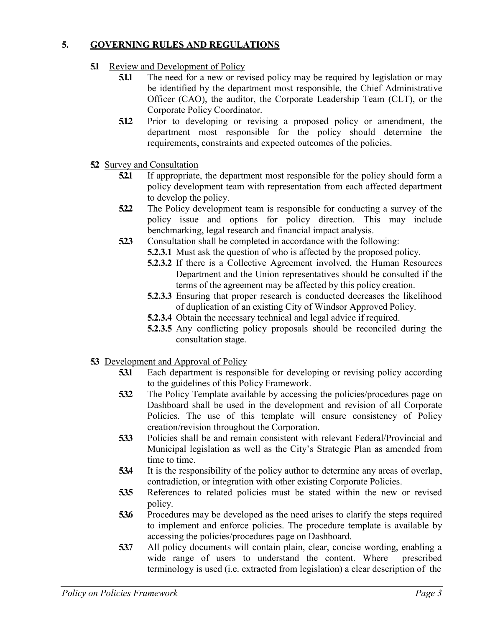## **5. GOVERNING RULES AND REGULATIONS**

- **51** Review and Development of Policy
	- **5.1.1** The need for a new or revised policy may be required by legislation or may be identified by the department most responsible, the Chief Administrative Officer (CAO), the auditor, the Corporate Leadership Team (CLT), or the Corporate Policy Coordinator.
	- **5.1.2** Prior to developing or revising a proposed policy or amendment, the department most responsible for the policy should determine the requirements, constraints and expected outcomes of the policies.
- **5.2** Survey and Consultation
	- **5.2.1** If appropriate, the department most responsible for the policy should form a policy development team with representation from each affected department to develop the policy.
	- **5.2.2** The Policy development team is responsible for conducting a survey of the policy issue and options for policy direction. This may include benchmarking, legal research and financial impact analysis.
	- **5.2.3** Consultation shall be completed in accordance with the following:
		- **5.2.3.1** Must ask the question of who is affected by the proposed policy.
		- **5.2.3.2** If there is a Collective Agreement involved, the Human Resources Department and the Union representatives should be consulted if the terms of the agreement may be affected by this policy creation.
		- **5.2.3.3** Ensuring that proper research is conducted decreases the likelihood of duplication of an existing City of Windsor Approved Policy.
		- **5.2.3.4** Obtain the necessary technical and legal advice if required.
		- **5.2.3.5** Any conflicting policy proposals should be reconciled during the consultation stage.
- **5.3** Development and Approval of Policy
	- **5.3.1** Each department is responsible for developing or revising policy according to the guidelines of this Policy Framework.
	- **5.3.2** The Policy Template available by accessing the policies/procedures page on Dashboard shall be used in the development and revision of all Corporate Policies. The use of this template will ensure consistency of Policy creation/revision throughout the Corporation.
	- **5.3.3** Policies shall be and remain consistent with relevant Federal/Provincial and Municipal legislation as well as the City's Strategic Plan as amended from time to time.
	- **5.3.4** It is the responsibility of the policy author to determine any areas of overlap, contradiction, or integration with other existing Corporate Policies.
	- **5.3.5** References to related policies must be stated within the new or revised policy.
	- **5.3.6** Procedures may be developed as the need arises to clarify the steps required to implement and enforce policies. The procedure template is available by accessing the policies/procedures page on Dashboard.
	- **5.3.7** All policy documents will contain plain, clear, concise wording, enabling a wide range of users to understand the content. Where prescribed terminology is used (i.e. extracted from legislation) a clear description of the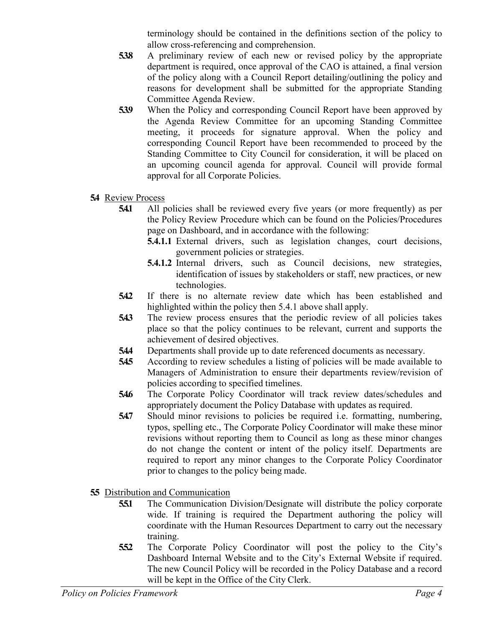terminology should be contained in the definitions section of the policy to allow cross-referencing and comprehension.

- **5.3.8** A preliminary review of each new or revised policy by the appropriate department is required, once approval of the CAO is attained, a final version of the policy along with a Council Report detailing/outlining the policy and reasons for development shall be submitted for the appropriate Standing Committee Agenda Review.
- **5.39** When the Policy and corresponding Council Report have been approved by the Agenda Review Committee for an upcoming Standing Committee meeting, it proceeds for signature approval. When the policy and corresponding Council Report have been recommended to proceed by the Standing Committee to City Council for consideration, it will be placed on an upcoming council agenda for approval. Council will provide formal approval for all Corporate Policies.
- **5.4** Review Process
	- **5.4.1** All policies shall be reviewed every five years (or more frequently) as per the Policy Review Procedure which can be found on the Policies/Procedures page on Dashboard, and in accordance with the following:
		- **5.4.1.1** External drivers, such as legislation changes, court decisions, government policies or strategies.
		- **5.4.1.2** Internal drivers, such as Council decisions, new strategies, identification of issues by stakeholders or staff, new practices, or new technologies.
	- **5.4.2** If there is no alternate review date which has been established and highlighted within the policy then 5.4.1 above shall apply.
	- **543** The review process ensures that the periodic review of all policies takes place so that the policy continues to be relevant, current and supports the achievement of desired objectives.
	- **5.4.4** Departments shall provide up to date referenced documents as necessary.
	- **5.4.5** According to review schedules a listing of policies will be made available to Managers of Administration to ensure their departments review/revision of policies according to specified timelines.
	- **5.4.6** The Corporate Policy Coordinator will track review dates/schedules and appropriately document the Policy Database with updates as required.
	- **5.4.7** Should minor revisions to policies be required i.e. formatting, numbering, typos, spelling etc., The Corporate Policy Coordinator will make these minor revisions without reporting them to Council as long as these minor changes do not change the content or intent of the policy itself. Departments are required to report any minor changes to the Corporate Policy Coordinator prior to changes to the policy being made.
- **5.5** Distribution and Communication
	- **5.5.1** The Communication Division/Designate will distribute the policy corporate wide. If training is required the Department authoring the policy will coordinate with the Human Resources Department to carry out the necessary training.
	- **5.5.2** The Corporate Policy Coordinator will post the policy to the City's Dashboard Internal Website and to the City's External Website if required. The new Council Policy will be recorded in the Policy Database and a record will be kept in the Office of the City Clerk.